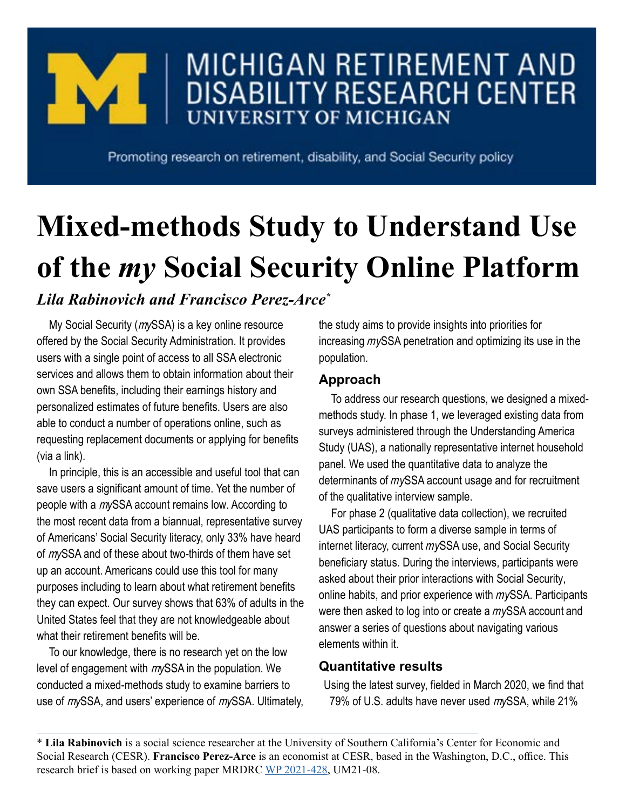

## MICHIGAN RETIREMENT AND **DISABILITY RESEARCH CENTER UNIVERSITY OF MICHIGAN**

Promoting research on retirement, disability, and Social Security policy

# **Mixed-methods Study to Understand Use of the** *my* **Social Security Online Platform**

### *Lila Rabinovich and Francisco Perez-Arce\**

My Social Security (m*y*SSA) is a key online resource offered by the Social Security Administration. It provides users with a single point of access to all SSA electronic services and allows them to obtain information about their own SSA benefits, including their earnings history and personalized estimates of future benefits. Users are also able to conduct a number of operations online, such as requesting replacement documents or applying for benefits (via a link).

In principle, this is an accessible and useful tool that can save users a significant amount of time. Yet the number of people with a m*y*SSA account remains low. According to the most recent data from a biannual, representative survey of Americans' Social Security literacy, only 33% have heard of m*y*SSA and of these about two-thirds of them have set up an account. Americans could use this tool for many purposes including to learn about what retirement benefits they can expect. Our survey shows that 63% of adults in the United States feel that they are not knowledgeable about what their retirement benefits will be.

To our knowledge, there is no research yet on the low level of engagement with m*y*SSA in the population. We conducted a mixed-methods study to examine barriers to use of m*y*SSA, and users' experience of m*y*SSA. Ultimately, the study aims to provide insights into priorities for increasing m*y*SSA penetration and optimizing its use in the population.

#### **Approach**

To address our research questions, we designed a mixedmethods study. In phase 1, we leveraged existing data from surveys administered through the Understanding America Study (UAS), a nationally representative internet household panel. We used the quantitative data to analyze the determinants of m*y*SSA account usage and for recruitment of the qualitative interview sample.

For phase 2 (qualitative data collection), we recruited UAS participants to form a diverse sample in terms of internet literacy, current m*y*SSA use, and Social Security beneficiary status. During the interviews, participants were asked about their prior interactions with Social Security, online habits, and prior experience with m*y*SSA. Participants were then asked to log into or create a m*y*SSA account and answer a series of questions about navigating various elements within it.

#### **Quantitative results**

Using the latest survey, fielded in March 2020, we find that 79% of U.S. adults have never used m*y*SSA, while 21%

\* **Lila Rabinovich** is a social science researcher at the University of Southern California's Center for Economic and Social Research (CESR). **Francisco Perez-Arce** is an economist at CESR, based in the Washington, D.C., office. This research brief is based on working paper MRDRC [WP 2021-428](https://mrdrc.isr.umich.edu/pubs/mixed-methods-study-to-understand-use-of-the-my-social-security-online-platform/), UM21-08.